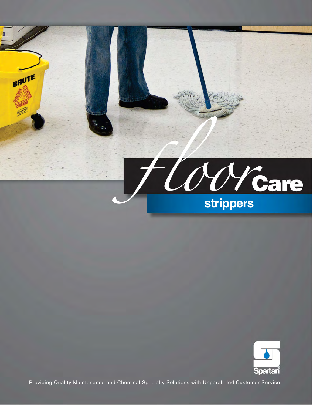



Providing Quality Maintenance and Chemical Specialty Solutions with Unparalleled Customer Service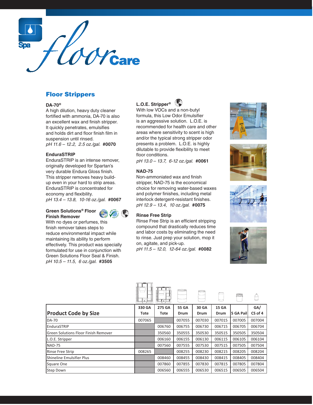

## Floor Strippers

### **DA-70®**

A high dilution, heavy duty cleaner fortifed with ammonia, DA-70 is also an excellent wax and finish stripper. It quickly penetrates, emulsifes and holds dirt and floor finish film in suspension until rinsed. pH 11.6 - 12.2, 2.5 oz./gal. **#0070** 

### **EnduraSTRIP**

EnduraSTRIP is an intense remover, originally developed for Spartan's very durable Endura Gloss finish. This stripper removes heavy buildup even in your hard to strip areas. EnduraSTRIP is concentrated for economy and flexibility. pH 13.4 - 13.8, 10-16 oz./gal. **#0067** 

## **Green Solutions® Floor Finish Remover**



With no dyes or perfumes, this finish remover takes steps to reduce environmental impact while maintaining its ability to perform effectively. This product was specially formulated for use in conjunction with Green Solutions Floor Seal & Finish. pH 10.5 - 11.5, 6 oz./gal. **#3505** 



With low VOCs and a non-butyl formula, this Low Odor Emulsifier is an aggressive solution. L.O.E. is recommended for health care and other areas where sensitivity to scent is high and/or the typical strong stripper odor presents a problem. L.O.E. is highly dilutable to provide fexibility to meet floor conditions.

pH 13.0 - 13.7, 6-12 oz./gal. **#0061** 

#### **NAD-75**

Non-ammoniated wax and finish stripper, NAD-75 is the economical choice for removing water-based waxes and polymer finishes, including metal interlock detergent-resistant finishes. pH 12.9 - 13.4, 10 oz.lgal. **#0075**

### **Rinse Free Strip**

Rinse Free Strip is an efficient stripping compound that drastically reduces time and labor costs by eliminating the need to rinse. Just prep your solution, mop it on, agitate, and pick-up. pH 11.5 - 12.0, 12-64 oz./gal. **#0082** 









|                                             | ⊘া     | ∔কা    | ⋐⋑     |        |              |           |         |
|---------------------------------------------|--------|--------|--------|--------|--------------|-----------|---------|
|                                             | 330 GA | 275 GA | 55 GA  | 30 GA  | <b>15 GA</b> |           | GA/     |
| <b>Product Code by Size</b>                 | Tote   | Tote   | Drum   | Drum   | Drum         | 5 GA Pail | CS of 4 |
| DA-70                                       | 007065 |        | 007055 | 007030 | 007015       | 007005    | 007004  |
| EnduraSTRIP                                 |        | 006760 | 006755 | 006730 | 006715       | 006705    | 006704  |
| <b>Green Solutions Floor Finish Remover</b> |        | 350560 | 350555 | 350530 | 350515       | 350505    | 350504  |
| L.O.E. Stripper                             |        | 006160 | 006155 | 006130 | 006115       | 006105    | 006104  |
| <b>NAD-75</b>                               |        | 007560 | 007555 | 007530 | 007515       | 007505    | 007504  |
| <b>Rinse Free Strip</b>                     | 008265 |        | 008255 | 008230 | 008215       | 008205    | 008204  |
| <b>Shineline Emulsifier Plus</b>            |        | 008460 | 008455 | 008430 | 008415       | 008405    | 008404  |
| Square One                                  |        | 007860 | 007855 | 007830 | 007815       | 007805    | 007804  |
| Step Down                                   |        | 006560 | 006555 | 006530 | 006515       | 006505    | 006504  |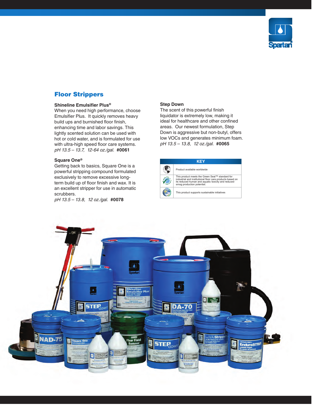

# Floor Strippers

### **Shineline Emulsifer Plus®**

 pH 13.5 - 13.7, 12-64 oz.lgal. **#0061** When you need high performance, choose Emulsifier Plus. It quickly removes heavy build ups and burnished floor finish, enhancing time and labor savings. This lightly scented solution can be used with hot or cold water, and is formulated for use with ultra-high speed floor care systems.

## **Square 0ne®**

 exclusively to remove excessive long-Getting back to basics, Square One is a powerful stripping compound formulated term build up of floor finish and wax. It is an excellent stripper for use in automatic scrubbers.

pH 13.5 - 13.8, 12 oz.lgal. **#0078**

### **Step Down**

 low VOCs and generates minimum foam. pH 13.5 - 13.8, 12 oz.lgal. **#0065** The scent of this powerful finish liquidator is extremely low, making it ideal for healthcare and other confined areas. Our newest formulation, Step Down is aggressive but non-butyl, offers